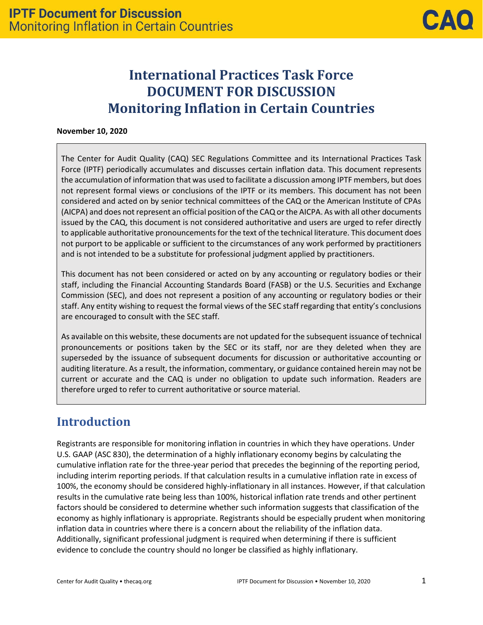# **International Practices Task Force DOCUMENT FOR DISCUSSION Monitoring Inflation in Certain Countries**

#### **November 10, 2020**

The Center for Audit Quality (CAQ) SEC Regulations Committee and its International Practices Task Force (IPTF) periodically accumulates and discusses certain inflation data. This document represents the accumulation of information that was used to facilitate a discussion among IPTF members, but does not represent formal views or conclusions of the IPTF or its members. This document has not been considered and acted on by senior technical committees of the CAQ or the American Institute of CPAs (AICPA) and does not represent an official position of the CAQ or the AICPA. As with all other documents issued by the CAQ, this document is not considered authoritative and users are urged to refer directly to applicable authoritative pronouncements for the text of the technical literature. This document does not purport to be applicable or sufficient to the circumstances of any work performed by practitioners and is not intended to be a substitute for professional judgment applied by practitioners.

This document has not been considered or acted on by any accounting or regulatory bodies or their staff, including the Financial Accounting Standards Board (FASB) or the U.S. Securities and Exchange Commission (SEC), and does not represent a position of any accounting or regulatory bodies or their staff. Any entity wishing to request the formal views of the SEC staff regarding that entity's conclusions are encouraged to consult with the SEC staff.

As available on this website, these documents are not updated for the subsequent issuance of technical pronouncements or positions taken by the SEC or its staff, nor are they deleted when they are superseded by the issuance of subsequent documents for discussion or authoritative accounting or auditing literature. As a result, the information, commentary, or guidance contained herein may not be current or accurate and the CAQ is under no obligation to update such information. Readers are therefore urged to refer to current authoritative or source material.

## **Introduction**

Registrants are responsible for monitoring inflation in countries in which they have operations. Under U.S. GAAP (ASC 830), the determination of a highly inflationary economy begins by calculating the cumulative inflation rate for the three-year period that precedes the beginning of the reporting period, including interim reporting periods. If that calculation results in a cumulative inflation rate in excess of 100%, the economy should be considered highly-inflationary in all instances. However, if that calculation results in the cumulative rate being less than 100%, historical inflation rate trends and other pertinent factors should be considered to determine whether such information suggests that classification of the economy as highly inflationary is appropriate. Registrants should be especially prudent when monitoring inflation data in countries where there is a concern about the reliability of the inflation data. Additionally, significant professional judgment is required when determining if there is sufficient evidence to conclude the country should no longer be classified as highly inflationary.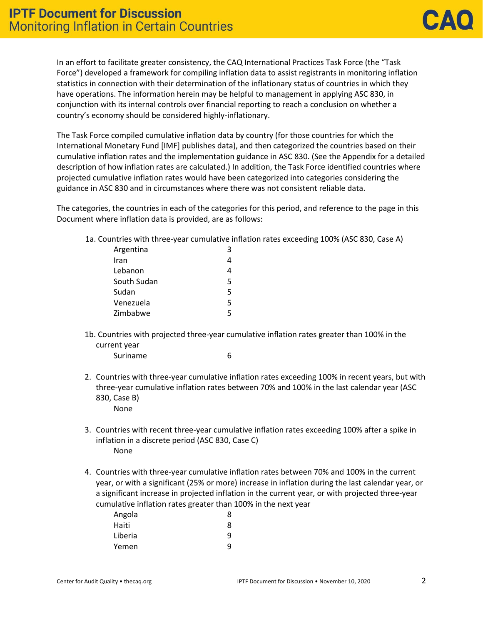In an effort to facilitate greater consistency, the CAQ International Practices Task Force (the "Task Force") developed a framework for compiling inflation data to assist registrants in monitoring inflation statistics in connection with their determination of the inflationary status of countries in which they have operations. The information herein may be helpful to management in applying ASC 830, in conjunction with its internal controls over financial reporting to reach a conclusion on whether a country's economy should be considered highly-inflationary.

The Task Force compiled cumulative inflation data by country (for those countries for which the International Monetary Fund [IMF] publishes data), and then categorized the countries based on their cumulative inflation rates and the implementation guidance in ASC 830. (See the Appendix for a detailed description of how inflation rates are calculated.) In addition, the Task Force identified countries where projected cumulative inflation rates would have been categorized into categories considering the guidance in ASC 830 and in circumstances where there was not consistent reliable data.

The categories, the countries in each of the categories for this period, and reference to the page in this Document where inflation data is provided, are as follows:

1a. Countries with three-year cumulative inflation rates exceeding 100% (ASC 830, Case A)

| Argentina   |   |
|-------------|---|
| Iran        |   |
| Lebanon     |   |
| South Sudan | 5 |
| Sudan       | 5 |
| Venezuela   | 5 |
| Zimbabwe    | 5 |
|             |   |

- 1b. Countries with projected three-year cumulative inflation rates greater than 100% in the current year Suriname 6
- 2. Countries with three-year cumulative inflation rates exceeding 100% in recent years, but with three-year cumulative inflation rates between 70% and 100% in the last calendar year (ASC 830, Case B) None
- 3. Countries with recent three-year cumulative inflation rates exceeding 100% after a spike in inflation in a discrete period (ASC 830, Case C) None
- 4. Countries with three-year cumulative inflation rates between 70% and 100% in the current year, or with a significant (25% or more) increase in inflation during the last calendar year, or a significant increase in projected inflation in the current year, or with projected three-year cumulative inflation rates greater than 100% in the next year

| 8 |
|---|
| 8 |
| 9 |
| 9 |
|   |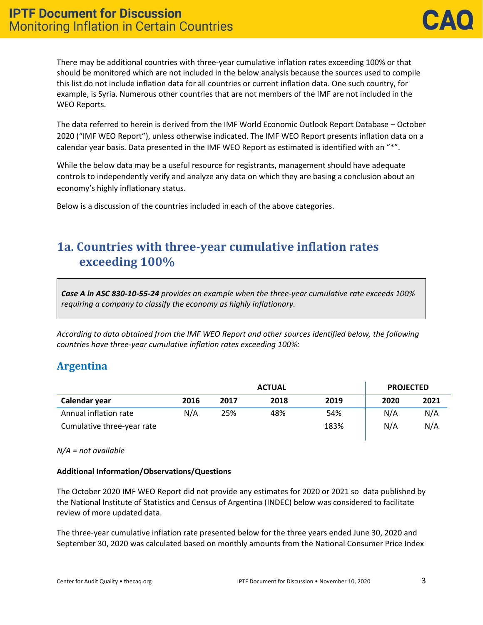There may be additional countries with three-year cumulative inflation rates exceeding 100% or that should be monitored which are not included in the below analysis because the sources used to compile this list do not include inflation data for all countries or current inflation data. One such country, for example, is Syria. Numerous other countries that are not members of the IMF are not included in the WEO Reports.

The data referred to herein is derived from the IMF World Economic Outlook Report Database – October 2020 ("IMF WEO Report"), unless otherwise indicated. The IMF WEO Report presents inflation data on a calendar year basis. Data presented in the IMF WEO Report as estimated is identified with an "\*".

While the below data may be a useful resource for registrants, management should have adequate controls to independently verify and analyze any data on which they are basing a conclusion about an economy's highly inflationary status.

Below is a discussion of the countries included in each of the above categories.

## **1a. Countries with three-year cumulative inflation rates exceeding 100%**

*Case A in ASC 830-10-55-24 provides an example when the three-year cumulative rate exceeds 100% requiring a company to classify the economy as highly inflationary.*

*According to data obtained from the IMF WEO Report and other sources identified below, the following countries have three-year cumulative inflation rates exceeding 100%:*

### **Argentina**

|                            |      |      | <b>PROJECTED</b> |      |      |      |
|----------------------------|------|------|------------------|------|------|------|
| Calendar year              | 2016 | 2017 | 2018             | 2019 | 2020 | 2021 |
| Annual inflation rate      | N/A  | 25%  | 48%              | 54%  | N/A  | N/A  |
| Cumulative three-year rate |      |      |                  | 183% | N/A  | N/A  |

*N/A = not available*

#### **Additional Information/Observations/Questions**

The October 2020 IMF WEO Report did not provide any estimates for 2020 or 2021 so data published by the National Institute of Statistics and Census of Argentina (INDEC) below was considered to facilitate review of more updated data.

The three-year cumulative inflation rate presented below for the three years ended June 30, 2020 and September 30, 2020 was calculated based on monthly amounts from the National Consumer Price Index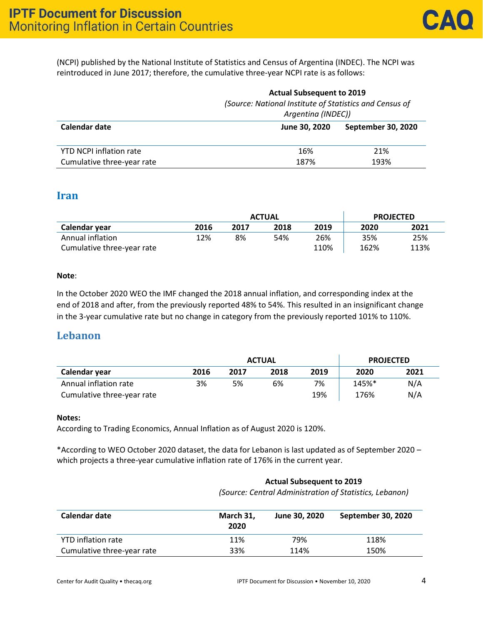(NCPI) published by the National Institute of Statistics and Census of Argentina (INDEC). The NCPI was reintroduced in June 2017; therefore, the cumulative three-year NCPI rate is as follows:

#### **Actual Subsequent to 2019**

*(Source: National Institute of Statistics and Census of Argentina (INDEC))*

| Calendar date              | June 30, 2020 | September 30, 2020 |
|----------------------------|---------------|--------------------|
| YTD NCPI inflation rate    | 16%           | 21%                |
| Cumulative three-year rate | 187%          | 193%               |

#### **Iran**

|                            |      | <b>ACTUAL</b> | <b>PROJECTED</b> |      |      |      |
|----------------------------|------|---------------|------------------|------|------|------|
| Calendar year              | 2016 | 2017          | 2018             | 2019 | 2020 | 2021 |
| Annual inflation           | 12%  | 8%            | 54%              | 26%  | 35%  | 25%  |
| Cumulative three-year rate |      |               |                  | 110% | 162% | 113% |

#### **Note**:

In the October 2020 WEO the IMF changed the 2018 annual inflation, and corresponding index at the end of 2018 and after, from the previously reported 48% to 54%. This resulted in an insignificant change in the 3-year cumulative rate but no change in category from the previously reported 101% to 110%.

### **Lebanon**

|                            |      | <b>ACTUAL</b> | <b>PROJECTED</b> |      |       |      |
|----------------------------|------|---------------|------------------|------|-------|------|
| Calendar year              | 2016 | 2017          | 2018             | 2019 | 2020  | 2021 |
| Annual inflation rate      | 3%   | 5%            | 6%               | 7%   | 145%* | N/A  |
| Cumulative three-year rate |      |               |                  | 19%  | 176%  | N/A  |

#### **Notes:**

According to Trading Economics, Annual Inflation as of August 2020 is 120%.

\*According to WEO October 2020 dataset, the data for Lebanon is last updated as of September 2020 – which projects a three-year cumulative inflation rate of 176% in the current year.

#### **Actual Subsequent to 2019**

*(Source: Central Administration of Statistics, Lebanon)*

| Calendar date              | March 31,<br>2020 | June 30, 2020 | September 30, 2020 |
|----------------------------|-------------------|---------------|--------------------|
| <b>YTD</b> inflation rate  | 11%               | 79%           | 118%               |
| Cumulative three-year rate | 33%               | 114%          | 150%               |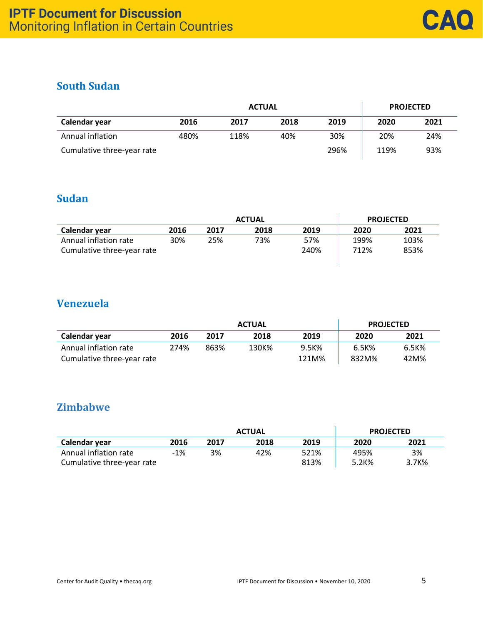## **South Sudan**

| <b>ACTUAL</b>              |      |      |      |      |      | <b>PROJECTED</b> |
|----------------------------|------|------|------|------|------|------------------|
| Calendar year              | 2016 | 2017 | 2018 | 2019 | 2020 | 2021             |
| Annual inflation           | 480% | 118% | 40%  | 30%  | 20%  | 24%              |
| Cumulative three-year rate |      |      |      | 296% | 119% | 93%              |

### **Sudan**

|                            |      | <b>ACTUAL</b> | <b>PROJECTED</b> |      |      |      |
|----------------------------|------|---------------|------------------|------|------|------|
| Calendar year              | 2016 | 2017          | 2018             | 2019 | 2020 | 2021 |
| Annual inflation rate      | 30%  | 25%           | 73%              | 57%  | 199% | 103% |
| Cumulative three-year rate |      |               |                  | 240% | 712% | 853% |
|                            |      |               |                  |      |      |      |

### **Venezuela**

|                            |      |      | <b>ACTUAL</b> | <b>PROJECTED</b> |       |       |
|----------------------------|------|------|---------------|------------------|-------|-------|
| Calendar year              | 2016 | 2017 | 2018          | 2019             | 2020  | 2021  |
| Annual inflation rate      | 274% | 863% | 130K%         | 9.5K%            | 6.5K% | 6.5K% |
| Cumulative three-year rate |      |      |               | 121M%            | 832M% | 42M%  |

### **Zimbabwe**

|                            |       |      | <b>ACTUAL</b> | <b>PROJECTED</b> |       |       |
|----------------------------|-------|------|---------------|------------------|-------|-------|
| Calendar year              | 2016  | 2017 | 2018          | 2019             | 2020  | 2021  |
| Annual inflation rate      | $-1%$ | 3%   | 42%           | 521%             | 495%  | 3%    |
| Cumulative three-year rate |       |      |               | 813%             | 5.2K% | 3.7K% |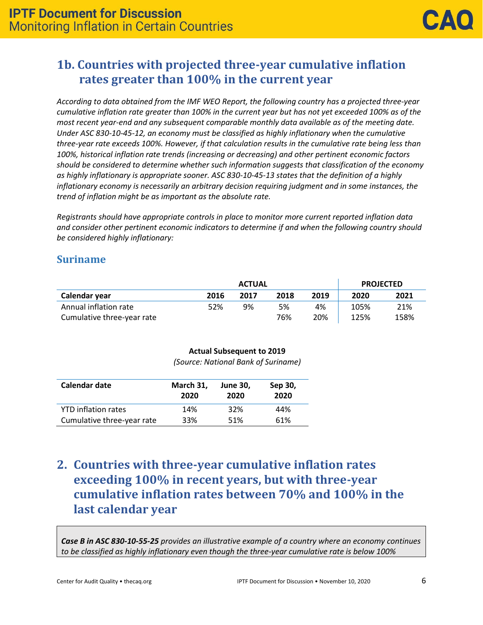## **1b. Countries with projected three-year cumulative inflation rates greater than 100% in the current year**

*According to data obtained from the IMF WEO Report, the following country has a projected three-year cumulative inflation rate greater than 100% in the current year but has not yet exceeded 100% as of the most recent year-end and any subsequent comparable monthly data available as of the meeting date. Under ASC 830-10-45-12, an economy must be classified as highly inflationary when the cumulative three-year rate exceeds 100%. However, if that calculation results in the cumulative rate being less than 100%, historical inflation rate trends (increasing or decreasing) and other pertinent economic factors should be considered to determine whether such information suggests that classification of the economy as highly inflationary is appropriate sooner. ASC 830-10-45-13 states that the definition of a highly inflationary economy is necessarily an arbitrary decision requiring judgment and in some instances, the trend of inflation might be as important as the absolute rate.*

*Registrants should have appropriate controls in place to monitor more current reported inflation data and consider other pertinent economic indicators to determine if and when the following country should be considered highly inflationary:*

### **Suriname**

|                            | <b>ACTUAL</b> |      |      |      | <b>PROJECTED</b> |      |  |
|----------------------------|---------------|------|------|------|------------------|------|--|
| Calendar year              | 2016          | 2017 | 2018 | 2019 | 2020             | 2021 |  |
| Annual inflation rate      | 52%           | 9%   | 5%   | 4%   | 105%             | 21%  |  |
| Cumulative three-year rate |               |      | 76%  | 20%  | 125%             | 158% |  |

#### **Actual Subsequent to 2019**

*(Source: National Bank of Suriname)*

| Calendar date              | March 31,<br>2020 | <b>June 30.</b><br>2020 | Sep 30,<br>2020 |
|----------------------------|-------------------|-------------------------|-----------------|
| <b>YTD</b> inflation rates | 14%               | 32%                     | 44%             |
| Cumulative three-year rate | 33%               | 51%                     | 61%             |

## **2. Countries with three-year cumulative inflation rates exceeding 100% in recent years, but with three-year cumulative inflation rates between 70% and 100% in the last calendar year**

*Case B in ASC 830-10-55-25 provides an illustrative example of a country where an economy continues to be classified as highly inflationary even though the three-year cumulative rate is below 100%*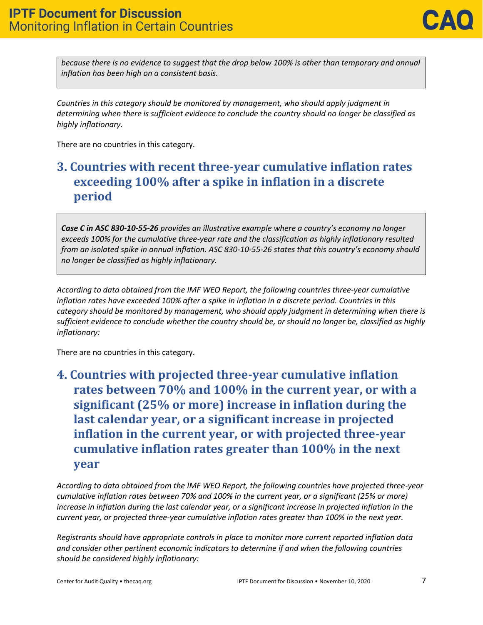*because there is no evidence to suggest that the drop below 100% is other than temporary and annual inflation has been high on a consistent basis.* 

*Countries in this category should be monitored by management, who should apply judgment in determining when there is sufficient evidence to conclude the country should no longer be classified as highly inflationary.*

There are no countries in this category.

## **3. Countries with recent three-year cumulative inflation rates exceeding 100% after a spike in inflation in a discrete period**

*Case C in ASC 830-10-55-26 provides an illustrative example where a country's economy no longer exceeds 100% for the cumulative three-year rate and the classification as highly inflationary resulted from an isolated spike in annual inflation. ASC 830-10-55-26 states that this country's economy should no longer be classified as highly inflationary.*

*According to data obtained from the IMF WEO Report, the following countries three-year cumulative inflation rates have exceeded 100% after a spike in inflation in a discrete period. Countries in this category should be monitored by management, who should apply judgment in determining when there is sufficient evidence to conclude whether the country should be, or should no longer be, classified as highly inflationary:*

There are no countries in this category.

## **4. Countries with projected three-year cumulative inflation rates between 70% and 100% in the current year, or with a significant (25% or more) increase in inflation during the last calendar year, or a significant increase in projected inflation in the current year, or with projected three-year cumulative inflation rates greater than 100% in the next year**

*According to data obtained from the IMF WEO Report, the following countries have projected three-year cumulative inflation rates between 70% and 100% in the current year, or a significant (25% or more) increase in inflation during the last calendar year, or a significant increase in projected inflation in the current year, or projected three-year cumulative inflation rates greater than 100% in the next year.* 

*Registrants should have appropriate controls in place to monitor more current reported inflation data and consider other pertinent economic indicators to determine if and when the following countries should be considered highly inflationary:*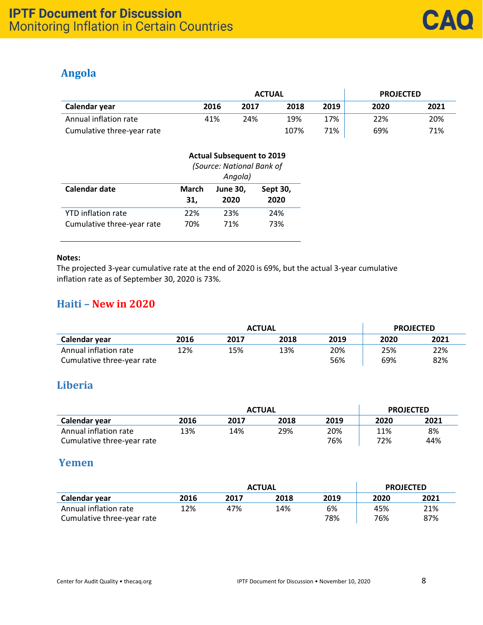### **Angola**

|                            | <b>ACTUAL</b> |      |      |      | <b>PROJECTED</b> |      |  |
|----------------------------|---------------|------|------|------|------------------|------|--|
| Calendar year              | 2016          | 2017 | 2018 | 2019 | 2020             | 2021 |  |
| Annual inflation rate      | 41%           | 24%  | 19%  | 17%  | 22%              | 20%  |  |
| Cumulative three-year rate |               |      | 107% | 71%  | 69%              | 71%  |  |

|                            | <b>Actual Subsequent to 2019</b><br>(Source: National Bank of<br>Angola) |                 |          |  |  |
|----------------------------|--------------------------------------------------------------------------|-----------------|----------|--|--|
| <b>Calendar date</b>       | <b>March</b>                                                             | <b>June 30,</b> | Sept 30, |  |  |
|                            | 31,                                                                      | 2020            | 2020     |  |  |
| <b>YTD</b> inflation rate  | 22%                                                                      | 23%             | 24%      |  |  |
| Cumulative three-year rate | 70%                                                                      | 71%             | 73%      |  |  |

#### **Notes:**

The projected 3-year cumulative rate at the end of 2020 is 69%, but the actual 3-year cumulative inflation rate as of September 30, 2020 is 73%.

### **Haiti – New in 2020**

|                            |      | <b>ACTUAL</b> | <b>PROJECTED</b> |      |      |      |
|----------------------------|------|---------------|------------------|------|------|------|
| Calendar year              | 2016 | 2017          | 2018             | 2019 | 2020 | 2021 |
| Annual inflation rate      | 12%  | 15%           | 13%              | 20%  | 25%  | 22%  |
| Cumulative three-year rate |      |               |                  | 56%  | 69%  | 82%  |

### **Liberia**

|                            | <b>ACTUAL</b> |      |      | <b>PROJECTED</b> |      |      |
|----------------------------|---------------|------|------|------------------|------|------|
| Calendar vear              | 2016          | 2017 | 2018 | 2019             | 2020 | 2021 |
| Annual inflation rate      | 13%           | 14%  | 29%  | 20%              | 11%  | 8%   |
| Cumulative three-year rate |               |      |      | 76%              | 72%  | 44%  |

### **Yemen**

|                            | <b>ACTUAL</b> |      |      |      | <b>PROJECTED</b> |      |
|----------------------------|---------------|------|------|------|------------------|------|
| Calendar year              | 2016          | 2017 | 2018 | 2019 | 2020             | 2021 |
| Annual inflation rate      | 12%           | 47%  | 14%  | 6%   | 45%              | 21%  |
| Cumulative three-year rate |               |      |      | 78%  | 76%              | 87%  |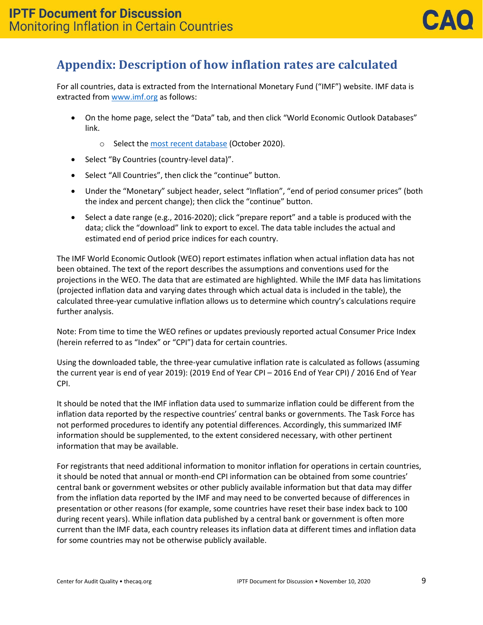# **Appendix: Description of how inflation rates are calculated**

For all countries, data is extracted from the International Monetary Fund ("IMF") website. IMF data is extracted from [www.imf.org](http://www.imf.org/) as follows:

- On the home page, select the "Data" tab, and then click "World Economic Outlook Databases" link.
	- o Select the [most recent database](https://www.imf.org/en/Publications/WEO/weo-database/2020/October) (October 2020).
- Select "By Countries (country-level data)".
- Select "All Countries", then click the "continue" button.
- Under the "Monetary" subject header, select "Inflation", "end of period consumer prices" (both the index and percent change); then click the "continue" button.
- Select a date range (e.g., 2016-2020); click "prepare report" and a table is produced with the data; click the "download" link to export to excel. The data table includes the actual and estimated end of period price indices for each country.

The IMF World Economic Outlook (WEO) report estimates inflation when actual inflation data has not been obtained. The text of the report describes the assumptions and conventions used for the projections in the WEO. The data that are estimated are highlighted. While the IMF data has limitations (projected inflation data and varying dates through which actual data is included in the table), the calculated three-year cumulative inflation allows us to determine which country's calculations require further analysis.

Note: From time to time the WEO refines or updates previously reported actual Consumer Price Index (herein referred to as "Index" or "CPI") data for certain countries.

Using the downloaded table, the three-year cumulative inflation rate is calculated as follows (assuming the current year is end of year 2019): (2019 End of Year CPI – 2016 End of Year CPI) / 2016 End of Year CPI.

It should be noted that the IMF inflation data used to summarize inflation could be different from the inflation data reported by the respective countries' central banks or governments. The Task Force has not performed procedures to identify any potential differences. Accordingly, this summarized IMF information should be supplemented, to the extent considered necessary, with other pertinent information that may be available.

For registrants that need additional information to monitor inflation for operations in certain countries, it should be noted that annual or month-end CPI information can be obtained from some countries' central bank or government websites or other publicly available information but that data may differ from the inflation data reported by the IMF and may need to be converted because of differences in presentation or other reasons (for example, some countries have reset their base index back to 100 during recent years). While inflation data published by a central bank or government is often more current than the IMF data, each country releases its inflation data at different times and inflation data for some countries may not be otherwise publicly available.